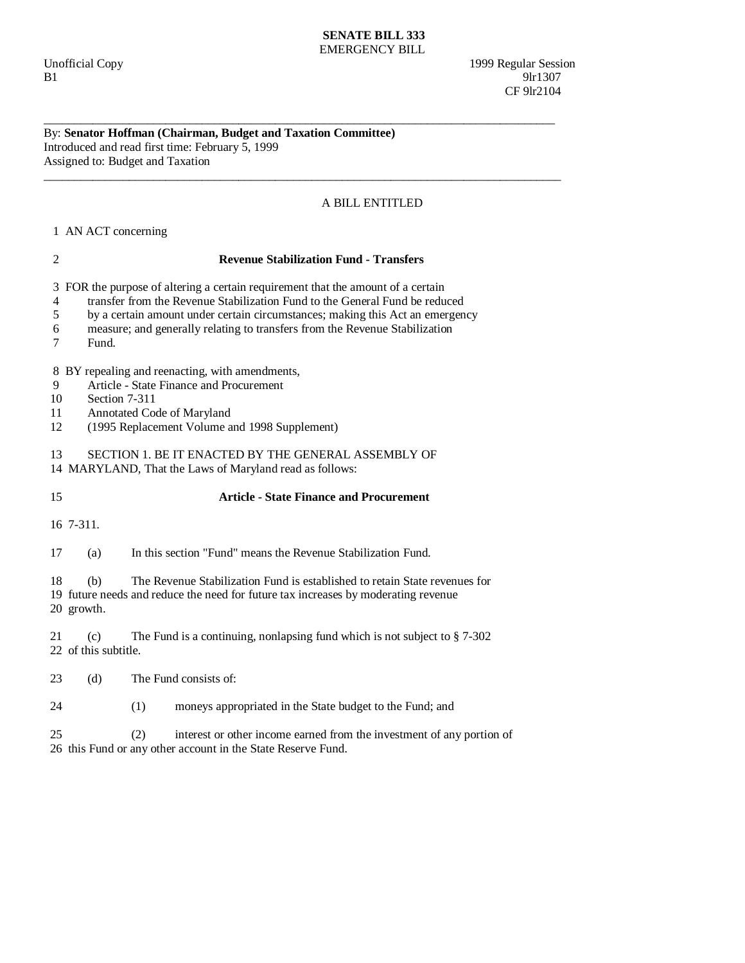## **SENATE BILL 333**  EMERGENCY BILL

\_\_\_\_\_\_\_\_\_\_\_\_\_\_\_\_\_\_\_\_\_\_\_\_\_\_\_\_\_\_\_\_\_\_\_\_\_\_\_\_\_\_\_\_\_\_\_\_\_\_\_\_\_\_\_\_\_\_\_\_\_\_\_\_\_\_\_\_\_\_\_\_\_\_\_\_\_\_\_\_\_\_\_\_

\_\_\_\_\_\_\_\_\_\_\_\_\_\_\_\_\_\_\_\_\_\_\_\_\_\_\_\_\_\_\_\_\_\_\_\_\_\_\_\_\_\_\_\_\_\_\_\_\_\_\_\_\_\_\_\_\_\_\_\_\_\_\_\_\_\_\_\_\_\_\_\_\_\_\_\_\_\_\_\_\_\_\_\_\_

By: **Senator Hoffman (Chairman, Budget and Taxation Committee)**  Introduced and read first time: February 5, 1999 Assigned to: Budget and Taxation

## A BILL ENTITLED

1 AN ACT concerning

| $\overline{2}$           | <b>Revenue Stabilization Fund - Transfers</b>                                                                                                                                                                                                                                                                                          |
|--------------------------|----------------------------------------------------------------------------------------------------------------------------------------------------------------------------------------------------------------------------------------------------------------------------------------------------------------------------------------|
| 3<br>4<br>5<br>6<br>7    | FOR the purpose of altering a certain requirement that the amount of a certain<br>transfer from the Revenue Stabilization Fund to the General Fund be reduced<br>by a certain amount under certain circumstances; making this Act an emergency<br>measure; and generally relating to transfers from the Revenue Stabilization<br>Fund. |
| 8<br>9<br>10<br>11<br>12 | BY repealing and reenacting, with amendments,<br>Article - State Finance and Procurement<br>Section 7-311<br>Annotated Code of Maryland<br>(1995 Replacement Volume and 1998 Supplement)                                                                                                                                               |
| 13                       | SECTION 1. BE IT ENACTED BY THE GENERAL ASSEMBLY OF<br>14 MARYLAND, That the Laws of Maryland read as follows:                                                                                                                                                                                                                         |
| 15                       | <b>Article - State Finance and Procurement</b>                                                                                                                                                                                                                                                                                         |
|                          | 16 7-311.                                                                                                                                                                                                                                                                                                                              |
| 17                       | In this section "Fund" means the Revenue Stabilization Fund.<br>(a)                                                                                                                                                                                                                                                                    |
| 18                       | The Revenue Stabilization Fund is established to retain State revenues for<br>(b)<br>19 future needs and reduce the need for future tax increases by moderating revenue<br>20 growth.                                                                                                                                                  |
| 21                       | The Fund is a continuing, nonlapsing fund which is not subject to $\S 7-302$<br>(c)<br>22 of this subtitle.                                                                                                                                                                                                                            |
| 23                       | (d)<br>The Fund consists of:                                                                                                                                                                                                                                                                                                           |
| 24                       | (1)<br>moneys appropriated in the State budget to the Fund; and                                                                                                                                                                                                                                                                        |
| 25                       | (2)<br>interest or other income earned from the investment of any portion of<br>26 this Fund or any other account in the State Reserve Fund.                                                                                                                                                                                           |